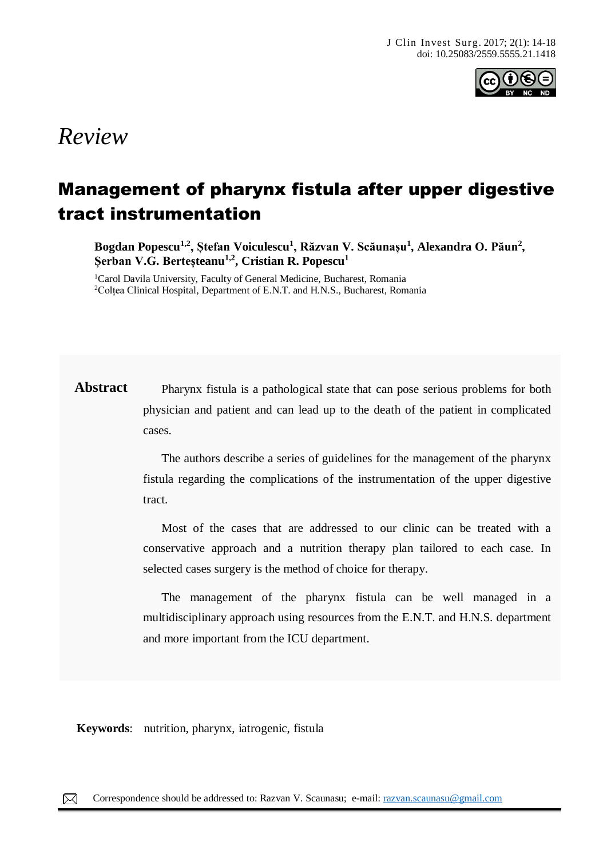

# *Review*

## Management of pharynx fistula after upper digestive tract instrumentation

**Bogdan Popescu1,2, Ștefan Voiculescu<sup>1</sup> , Răzvan V. Scăunașu<sup>1</sup> , Alexandra O. Păun<sup>2</sup> , Șerban V.G. Berteșteanu1,2, Cristian R. Popescu<sup>1</sup>**

<sup>1</sup>Carol Davila University, Faculty of General Medicine, Bucharest, Romania <sup>2</sup>Colțea Clinical Hospital, Department of E.N.T. and H.N.S., Bucharest, Romania

Abstract Pharynx fistula is a pathological state that can pose serious problems for both physician and patient and can lead up to the death of the patient in complicated cases.

> The authors describe a series of guidelines for the management of the pharynx fistula regarding the complications of the instrumentation of the upper digestive tract.

> Most of the cases that are addressed to our clinic can be treated with a conservative approach and a nutrition therapy plan tailored to each case. In selected cases surgery is the method of choice for therapy.

> The management of the pharynx fistula can be well managed in a multidisciplinary approach using resources from the E.N.T. and H.N.S. department and more important from the ICU department.

**Keywords**: nutrition, pharynx, iatrogenic, fistula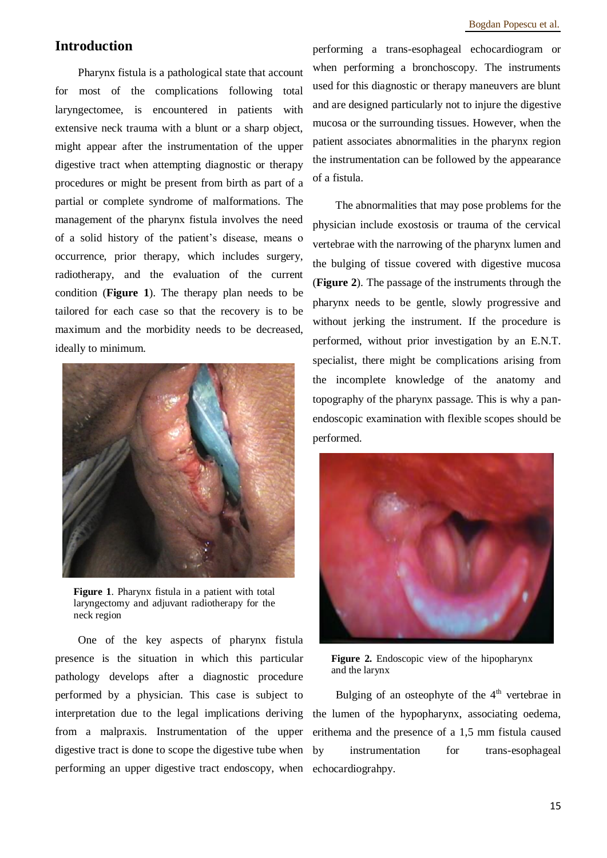### **Introduction**

Pharynx fistula is a pathological state that account for most of the complications following total laryngectomee, is encountered in patients with extensive neck trauma with a blunt or a sharp object, might appear after the instrumentation of the upper digestive tract when attempting diagnostic or therapy procedures or might be present from birth as part of a partial or complete syndrome of malformations. The management of the pharynx fistula involves the need of a solid history of the patient's disease, means o occurrence, prior therapy, which includes surgery, radiotherapy, and the evaluation of the current condition (**Figure 1**). The therapy plan needs to be tailored for each case so that the recovery is to be maximum and the morbidity needs to be decreased, ideally to minimum.



**Figure 1**. Pharynx fistula in a patient with total laryngectomy and adjuvant radiotherapy for the neck region

One of the key aspects of pharynx fistula presence is the situation in which this particular pathology develops after a diagnostic procedure performed by a physician. This case is subject to interpretation due to the legal implications deriving from a malpraxis. Instrumentation of the upper digestive tract is done to scope the digestive tube when performing an upper digestive tract endoscopy, when

performing a trans-esophageal echocardiogram or when performing a bronchoscopy. The instruments used for this diagnostic or therapy maneuvers are blunt and are designed particularly not to injure the digestive mucosa or the surrounding tissues. However, when the patient associates abnormalities in the pharynx region the instrumentation can be followed by the appearance of a fistula.

The abnormalities that may pose problems for the physician include exostosis or trauma of the cervical vertebrae with the narrowing of the pharynx lumen and the bulging of tissue covered with digestive mucosa (**Figure 2**). The passage of the instruments through the pharynx needs to be gentle, slowly progressive and without jerking the instrument. If the procedure is performed, without prior investigation by an E.N.T. specialist, there might be complications arising from the incomplete knowledge of the anatomy and topography of the pharynx passage. This is why a panendoscopic examination with flexible scopes should be performed.



**Figure 2.** Endoscopic view of the hipopharynx and the larynx

Bulging of an osteophyte of the  $4<sup>th</sup>$  vertebrae in the lumen of the hypopharynx, associating oedema, erithema and the presence of a 1,5 mm fistula caused by instrumentation for trans-esophageal echocardiograhpy.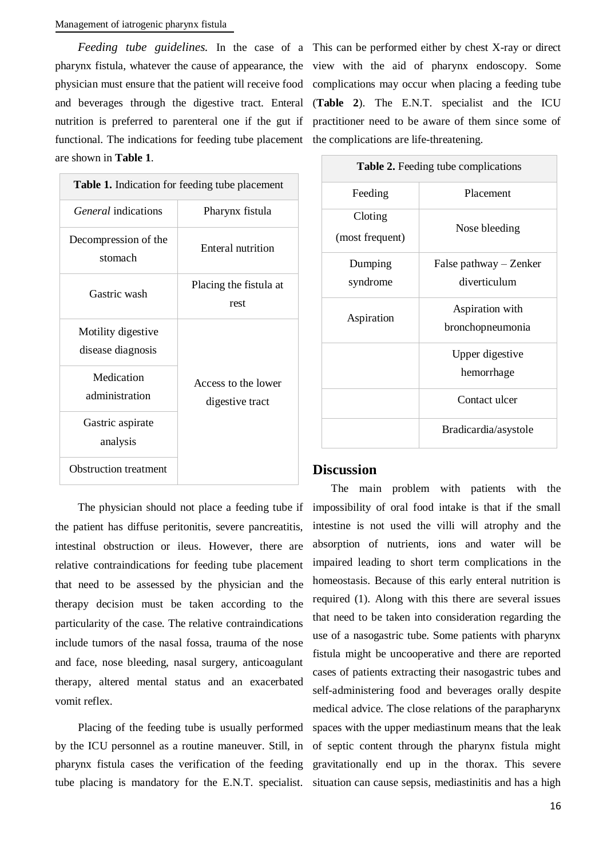functional. The indications for feeding tube placement the complications are life-threatening. are shown in **Table 1**.

| <b>Table 1.</b> Indication for feeding tube placement |                                        |
|-------------------------------------------------------|----------------------------------------|
| <i>General</i> indications                            | Pharynx fistula                        |
| Decompression of the<br>stomach                       | Enteral nutrition                      |
| Gastric wash                                          | Placing the fistula at<br>rest         |
| Motility digestive<br>disease diagnosis               | Access to the lower<br>digestive tract |
| Medication<br>administration                          |                                        |
| Gastric aspirate<br>analysis                          |                                        |
| <b>Obstruction treatment</b>                          |                                        |

The physician should not place a feeding tube if the patient has diffuse peritonitis, severe pancreatitis, intestinal obstruction or ileus. However, there are relative contraindications for feeding tube placement that need to be assessed by the physician and the therapy decision must be taken according to the particularity of the case. The relative contraindications include tumors of the nasal fossa, trauma of the nose and face, nose bleeding, nasal surgery, anticoagulant therapy, altered mental status and an exacerbated vomit reflex.

Placing of the feeding tube is usually performed by the ICU personnel as a routine maneuver. Still, in pharynx fistula cases the verification of the feeding tube placing is mandatory for the E.N.T. specialist.

*Feeding tube guidelines.* In the case of a This can be performed either by chest X-ray or direct pharynx fistula, whatever the cause of appearance, the view with the aid of pharynx endoscopy. Some physician must ensure that the patient will receive food complications may occur when placing a feeding tube and beverages through the digestive tract. Enteral (**Table 2**). The E.N.T. specialist and the ICU nutrition is preferred to parenteral one if the gut if practitioner need to be aware of them since some of

| <b>Table 2.</b> Feeding tube complications |                                          |
|--------------------------------------------|------------------------------------------|
| Feeding                                    | Placement                                |
| Cloting<br>(most frequent)                 | Nose bleeding                            |
| Dumping<br>syndrome                        | False pathway $-$ Zenker<br>diverticulum |
| Aspiration                                 | Aspiration with<br>bronchopneumonia      |
|                                            | Upper digestive                          |
|                                            | hemorrhage                               |
|                                            | Contact ulcer                            |
|                                            | Bradicardia/asystole                     |

#### **Discussion**

The main problem with patients with the impossibility of oral food intake is that if the small intestine is not used the villi will atrophy and the absorption of nutrients, ions and water will be impaired leading to short term complications in the homeostasis. Because of this early enteral nutrition is required (1). Along with this there are several issues that need to be taken into consideration regarding the use of a nasogastric tube. Some patients with pharynx fistula might be uncooperative and there are reported cases of patients extracting their nasogastric tubes and self-administering food and beverages orally despite medical advice. The close relations of the parapharynx spaces with the upper mediastinum means that the leak of septic content through the pharynx fistula might gravitationally end up in the thorax. This severe situation can cause sepsis, mediastinitis and has a high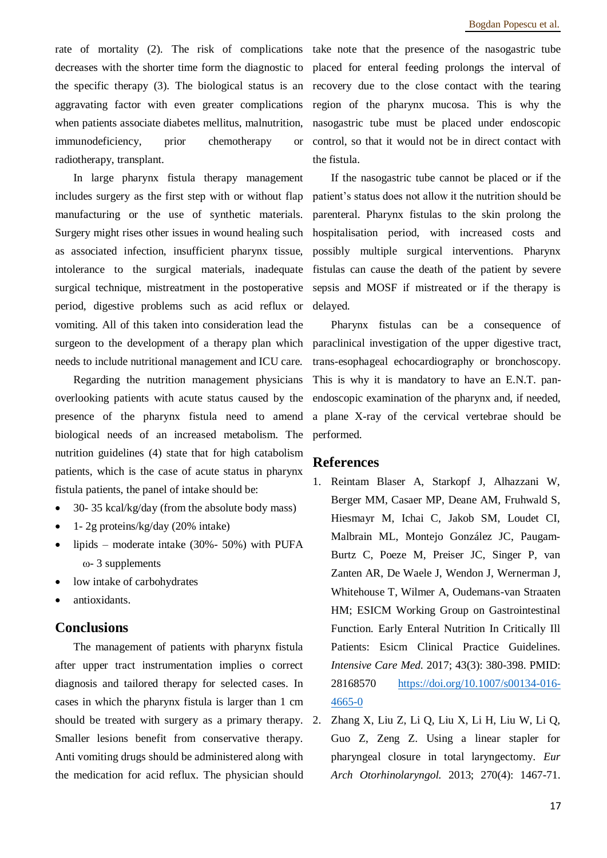rate of mortality (2). The risk of complications decreases with the shorter time form the diagnostic to the specific therapy (3). The biological status is an aggravating factor with even greater complications when patients associate diabetes mellitus, malnutrition, immunodeficiency, prior chemotherapy or radiotherapy, transplant.

In large pharynx fistula therapy management includes surgery as the first step with or without flap manufacturing or the use of synthetic materials. Surgery might rises other issues in wound healing such as associated infection, insufficient pharynx tissue, intolerance to the surgical materials, inadequate surgical technique, mistreatment in the postoperative period, digestive problems such as acid reflux or vomiting. All of this taken into consideration lead the surgeon to the development of a therapy plan which needs to include nutritional management and ICU care.

Regarding the nutrition management physicians overlooking patients with acute status caused by the presence of the pharynx fistula need to amend biological needs of an increased metabolism. The nutrition guidelines (4) state that for high catabolism patients, which is the case of acute status in pharynx fistula patients, the panel of intake should be:

- 30- 35 kcal/kg/day (from the absolute body mass)
- 1- 2g proteins/kg/day (20% intake)
- lipids moderate intake  $(30\% 50\%)$  with PUFA ω- 3 supplements
- low intake of carbohydrates
- antioxidants.

#### **Conclusions**

The management of patients with pharynx fistula after upper tract instrumentation implies o correct diagnosis and tailored therapy for selected cases. In cases in which the pharynx fistula is larger than 1 cm should be treated with surgery as a primary therapy. 2. Smaller lesions benefit from conservative therapy. Anti vomiting drugs should be administered along with the medication for acid reflux. The physician should

take note that the presence of the nasogastric tube placed for enteral feeding prolongs the interval of recovery due to the close contact with the tearing region of the pharynx mucosa. This is why the nasogastric tube must be placed under endoscopic control, so that it would not be in direct contact with the fistula.

If the nasogastric tube cannot be placed or if the patient's status does not allow it the nutrition should be parenteral. Pharynx fistulas to the skin prolong the hospitalisation period, with increased costs and possibly multiple surgical interventions. Pharynx fistulas can cause the death of the patient by severe sepsis and MOSF if mistreated or if the therapy is delayed.

Pharynx fistulas can be a consequence of paraclinical investigation of the upper digestive tract, trans-esophageal echocardiography or bronchoscopy. This is why it is mandatory to have an E.N.T. panendoscopic examination of the pharynx and, if needed, a plane X-ray of the cervical vertebrae should be performed.

#### **References**

- 1. Reintam Blaser A, Starkopf J, Alhazzani W, Berger MM, Casaer MP, Deane AM, Fruhwald S, Hiesmayr M, Ichai C, Jakob SM, Loudet CI, Malbrain ML, Montejo González JC, Paugam-Burtz C, Poeze M, Preiser JC, Singer P, van Zanten AR, De Waele J, Wendon J, Wernerman J, Whitehouse T, Wilmer A, Oudemans-van Straaten HM; ESICM Working Group on Gastrointestinal Function. Early Enteral Nutrition In Critically Ill Patients: Esicm Clinical Practice Guidelines. *Intensive Care Med*. 2017; 43(3): 380-398. PMID: 28168570 [https://doi.org/10.1007/s00134-016-](https://doi.org/10.1007/s00134-016-4665-0) [4665-0](https://doi.org/10.1007/s00134-016-4665-0)
- 2. Zhang X, Liu Z, Li Q, Liu X, Li H, Liu W, Li Q, Guo Z, Zeng Z. Using a linear stapler for pharyngeal closure in total laryngectomy. *Eur Arch Otorhinolaryngol.* 2013; 270(4): 1467-71.